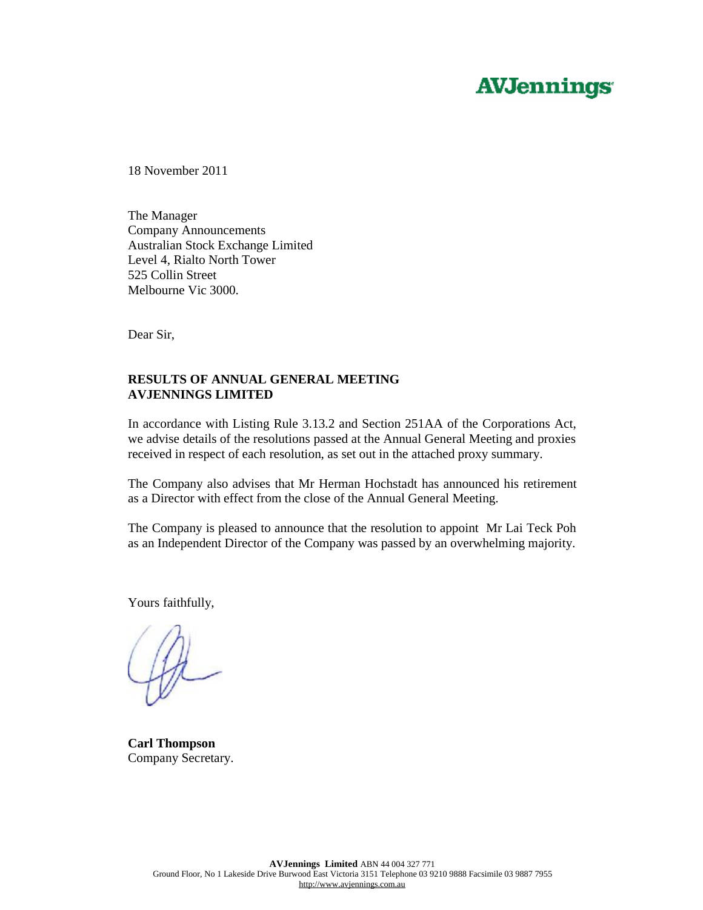# **AVJennings**

18 November 2011

The Manager Company Announcements Australian Stock Exchange Limited Level 4, Rialto North Tower 525 Collin Street Melbourne Vic 3000.

Dear Sir,

## **RESULTS OF ANNUAL GENERAL MEETING AVJENNINGS LIMITED**

In accordance with Listing Rule 3.13.2 and Section 251AA of the Corporations Act, we advise details of the resolutions passed at the Annual General Meeting and proxies received in respect of each resolution, as set out in the attached proxy summary.

The Company also advises that Mr Herman Hochstadt has announced his retirement as a Director with effect from the close of the Annual General Meeting.

The Company is pleased to announce that the resolution to appoint Mr Lai Teck Poh as an Independent Director of the Company was passed by an overwhelming majority.

Yours faithfully,

**Carl Thompson**  Company Secretary.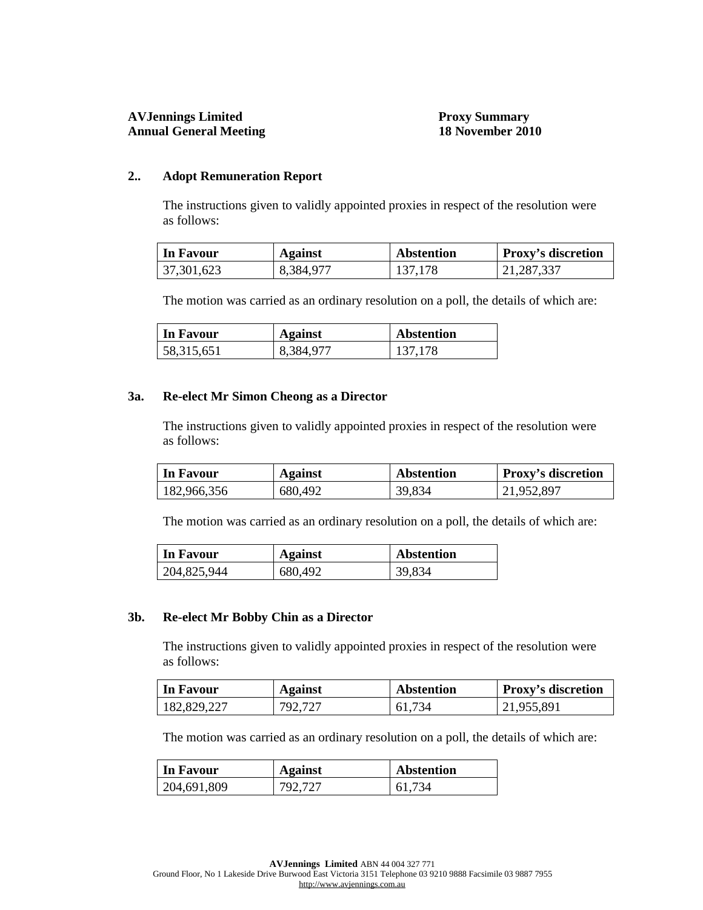### **2.. Adopt Remuneration Report**

The instructions given to validly appointed proxies in respect of the resolution were as follows:

| <b>In Favour</b> | <b>Against</b> | <b>Abstention</b> | <b>Proxy's discretion</b> |
|------------------|----------------|-------------------|---------------------------|
| 37,301,623       | 8,384,977      | 137,178           | 21,287,337                |

The motion was carried as an ordinary resolution on a poll, the details of which are:

| In Favour  | <b>Against</b> | <b>Abstention</b> |
|------------|----------------|-------------------|
| 58,315,651 | 8,384,977      | 137,178           |

#### **3a. Re-elect Mr Simon Cheong as a Director**

The instructions given to validly appointed proxies in respect of the resolution were as follows:

| <b>In Favour</b> | Against | <b>Abstention</b> | <b>Proxy's discretion</b> |
|------------------|---------|-------------------|---------------------------|
| 182,966,356      | 680,492 | 39,834            | 21,952,897                |

The motion was carried as an ordinary resolution on a poll, the details of which are:

| In Favour   | <b>Against</b> | Abstention |
|-------------|----------------|------------|
| 204,825,944 | 680,492        | 39,834     |

#### **3b. Re-elect Mr Bobby Chin as a Director**

The instructions given to validly appointed proxies in respect of the resolution were as follows:

| In Favour   | <b>Against</b> | Abstention | <b>Proxy's discretion</b> |
|-------------|----------------|------------|---------------------------|
| 182,829,227 | 792,727        | 61,734     | 21,955,891                |

The motion was carried as an ordinary resolution on a poll, the details of which are:

| In Favour   | <b>Against</b> | <b>Abstention</b> |
|-------------|----------------|-------------------|
| 204,691,809 | 792,727        | 61,734            |